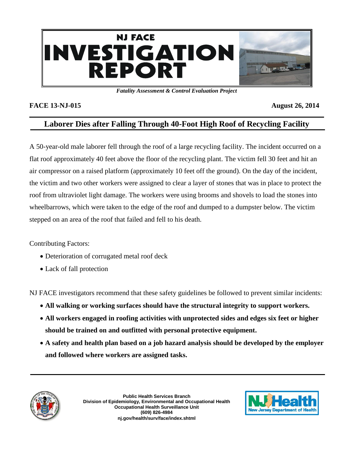

*Fatality Assessment & Control Evaluation Project*

## **FACE 13-NJ-015** August 26, 2014

# **Laborer Dies after Falling Through 40-Foot High Roof of Recycling Facility**

A 50-year-old male laborer fell through the roof of a large recycling facility. The incident occurred on a flat roof approximately 40 feet above the floor of the recycling plant. The victim fell 30 feet and hit an air compressor on a raised platform (approximately 10 feet off the ground). On the day of the incident, the victim and two other workers were assigned to clear a layer of stones that was in place to protect the roof from ultraviolet light damage. The workers were using brooms and shovels to load the stones into wheelbarrows, which were taken to the edge of the roof and dumped to a dumpster below. The victim stepped on an area of the roof that failed and fell to his death.

Contributing Factors:

- Deterioration of corrugated metal roof deck
- Lack of fall protection

NJ FACE investigators recommend that these safety guidelines be followed to prevent similar incidents:

- **All walking or working surfaces should have the structural integrity to support workers.**
- **All workers engaged in roofing activities with unprotected sides and edges six feet or higher should be trained on and outfitted with personal protective equipment.**
- **A safety and health plan based on a job hazard analysis should be developed by the employer and followed where workers are assigned tasks.**



**Public Health Services Branch Division of Epidemiology, Environmental and Occupational Health Occupational Health Surveillance Unit (609) 826-4984 nj.gov/health/surv/face/index.shtml**

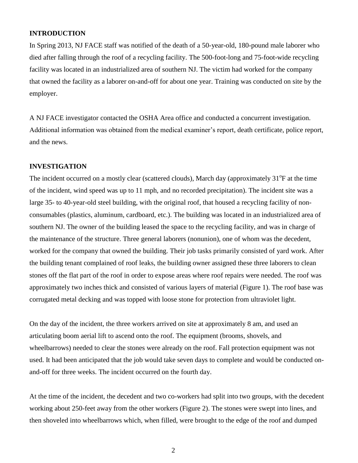#### **INTRODUCTION**

In Spring 2013, NJ FACE staff was notified of the death of a 50-year-old, 180-pound male laborer who died after falling through the roof of a recycling facility. The 500-foot-long and 75-foot-wide recycling facility was located in an industrialized area of southern NJ. The victim had worked for the company that owned the facility as a laborer on-and-off for about one year. Training was conducted on site by the employer.

A NJ FACE investigator contacted the OSHA Area office and conducted a concurrent investigation. Additional information was obtained from the medical examiner's report, death certificate, police report, and the news.

#### **INVESTIGATION**

The incident occurred on a mostly clear (scattered clouds), March day (approximately 31<sup>o</sup>F at the time of the incident, wind speed was up to 11 mph, and no recorded precipitation). The incident site was a large 35- to 40-year-old steel building, with the original roof, that housed a recycling facility of nonconsumables (plastics, aluminum, cardboard, etc.). The building was located in an industrialized area of southern NJ. The owner of the building leased the space to the recycling facility, and was in charge of the maintenance of the structure. Three general laborers (nonunion), one of whom was the decedent, worked for the company that owned the building. Their job tasks primarily consisted of yard work. After the building tenant complained of roof leaks, the building owner assigned these three laborers to clean stones off the flat part of the roof in order to expose areas where roof repairs were needed. The roof was approximately two inches thick and consisted of various layers of material (Figure 1). The roof base was corrugated metal decking and was topped with loose stone for protection from ultraviolet light.

On the day of the incident, the three workers arrived on site at approximately 8 am, and used an articulating boom aerial lift to ascend onto the roof. The equipment (brooms, shovels, and wheelbarrows) needed to clear the stones were already on the roof. Fall protection equipment was not used. It had been anticipated that the job would take seven days to complete and would be conducted onand-off for three weeks. The incident occurred on the fourth day.

At the time of the incident, the decedent and two co-workers had split into two groups, with the decedent working about 250-feet away from the other workers (Figure 2). The stones were swept into lines, and then shoveled into wheelbarrows which, when filled, were brought to the edge of the roof and dumped

2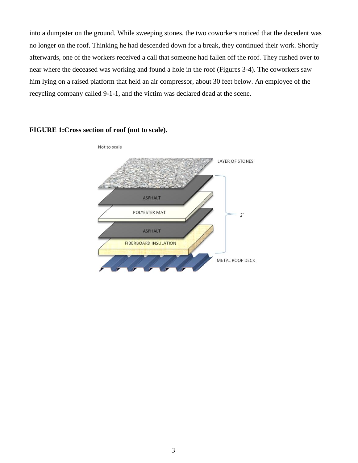into a dumpster on the ground. While sweeping stones, the two coworkers noticed that the decedent was no longer on the roof. Thinking he had descended down for a break, they continued their work. Shortly afterwards, one of the workers received a call that someone had fallen off the roof. They rushed over to near where the deceased was working and found a hole in the roof (Figures 3-4). The coworkers saw him lying on a raised platform that held an air compressor, about 30 feet below. An employee of the recycling company called 9-1-1, and the victim was declared dead at the scene.



**FIGURE 1:Cross section of roof (not to scale).**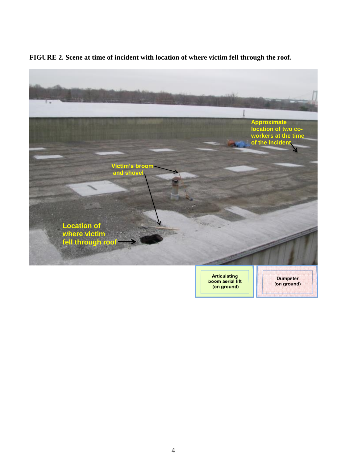

**FIGURE 2. Scene at time of incident with location of where victim fell through the roof.**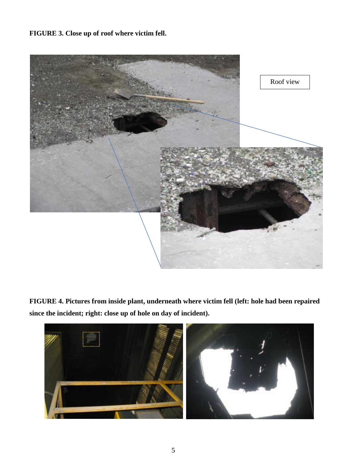**FIGURE 3. Close up of roof where victim fell.**



**FIGURE 4. Pictures from inside plant, underneath where victim fell (left: hole had been repaired since the incident; right: close up of hole on day of incident).**

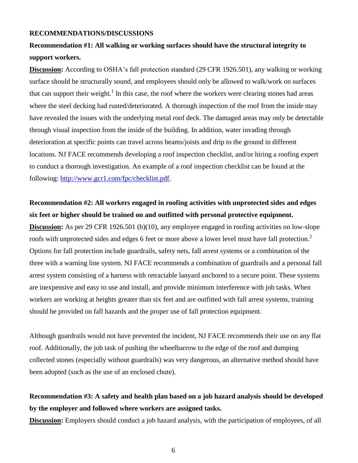#### **RECOMMENDATIONS/DISCUSSIONS**

# **Recommendation #1: All walking or working surfaces should have the structural integrity to support workers.**

**Discussion:** According to OSHA's fall protection standard (29 CFR 1926.501), any walking or working surface should be structurally sound, and employees should only be allowed to walk/work on surfaces that can support their weight.<sup>1</sup> In this case, the roof where the workers were clearing stones had areas where the steel decking had rusted/deteriorated. A thorough inspection of the roof from the inside may have revealed the issues with the underlying metal roof deck. The damaged areas may only be detectable through visual inspection from the inside of the building. In addition, water invading through deterioration at specific points can travel across beams/joists and drip to the ground in different locations. NJ FACE recommends developing a roof inspection checklist, and/or hiring a roofing expert to conduct a thorough investigation. An example of a roof inspection checklist can be found at the following: [http://www.gcr1.com/fpc/checklist.pdf.](http://www.gcr1.com/fpc/checklist.pdf)

# **Recommendation #2: All workers engaged in roofing activities with unprotected sides and edges six feet or higher should be trained on and outfitted with personal protective equipment.**

**Discussion:** As per 29 CFR 1926.501 (b)(10), any employee engaged in roofing activities on low-slope roofs with unprotected sides and edges 6 feet or more above a lower level must have fall protection.<sup>2</sup> Options for fall protection include guardrails, safety nets, fall arrest systems or a combination of the three with a warning line system. NJ FACE recommends a combination of guardrails and a personal fall arrest system consisting of a harness with retractable lanyard anchored to a secure point. These systems are inexpensive and easy to use and install, and provide minimum interference with job tasks. When workers are working at heights greater than six feet and are outfitted with fall arrest systems, training should be provided on fall hazards and the proper use of fall protection equipment.

Although guardrails would not have prevented the incident, NJ FACE recommends their use on any flat roof. Additionally, the job task of pushing the wheelbarrow to the edge of the roof and dumping collected stones (especially without guardrails) was very dangerous, an alternative method should have been adopted (such as the use of an enclosed chute).

# **Recommendation #3: A safety and health plan based on a job hazard analysis should be developed by the employer and followed where workers are assigned tasks.**

**Discussion:** Employers should conduct a job hazard analysis, with the participation of employees, of all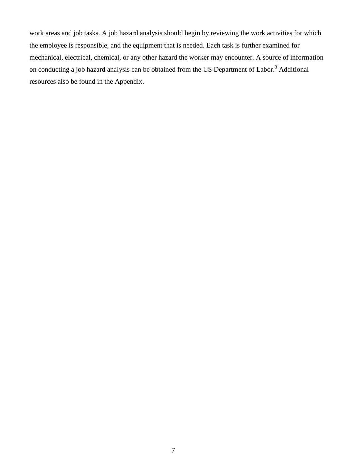work areas and job tasks. A job hazard analysis should begin by reviewing the work activities for which the employee is responsible, and the equipment that is needed. Each task is further examined for mechanical, electrical, chemical, or any other hazard the worker may encounter. A source of information on conducting a job hazard analysis can be obtained from the US Department of Labor.<sup>3</sup> Additional resources also be found in the Appendix.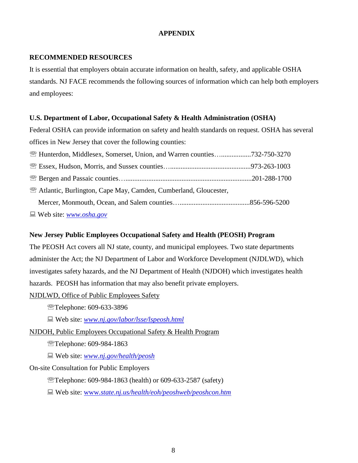### **APPENDIX**

### **RECOMMENDED RESOURCES**

It is essential that employers obtain accurate information on health, safety, and applicable OSHA standards. NJ FACE recommends the following sources of information which can help both employers and employees:

## **U.S. Department of Labor, Occupational Safety & Health Administration (OSHA)**

Federal OSHA can provide information on safety and health standards on request. OSHA has several offices in New Jersey that cover the following counties:

| <b>EXAMPLE Hunterdon, Middlesex, Somerset, Union, and Warren counties732-750-3270</b> |  |
|---------------------------------------------------------------------------------------|--|
|                                                                                       |  |
|                                                                                       |  |
| <b>Example 2.5 Atlantic, Burlington, Cape May, Camden, Cumberland, Gloucester,</b>    |  |
|                                                                                       |  |
| $\Box$ Web site: www.osha.gov                                                         |  |

#### Web site: *[www.osha.gov](http://www.osha.gov/)*

### **New Jersey Public Employees Occupational Safety and Health (PEOSH) Program**

The PEOSH Act covers all NJ state, county, and municipal employees. Two state departments administer the Act; the NJ Department of Labor and Workforce Development (NJDLWD), which investigates safety hazards, and the NJ Department of Health (NJDOH) which investigates health hazards. PEOSH has information that may also benefit private employers.

NJDLWD, Office of Public Employees Safety

**Telephone: 609-633-3896** 

Web site: *[www.nj.gov/labor/lsse/lspeosh.html](http://www.nj.gov/labor/lsse/lspeosh.html)*

### NJDOH, Public Employees Occupational Safety & Health Program

Telephone: 609-984-1863

Web site: *[www.nj.gov/health/peosh](http://www.nj.gov/health/peosh)*

### On-site Consultation for Public Employers

Telephone: 609-984-1863 (health) or 609-633-2587 (safety)

Web site: www*[.state.nj.us/health/eoh/peoshweb/peoshcon.htm](http://www.state.nj.us/health/eoh/peoshweb/peoshcon.htm)*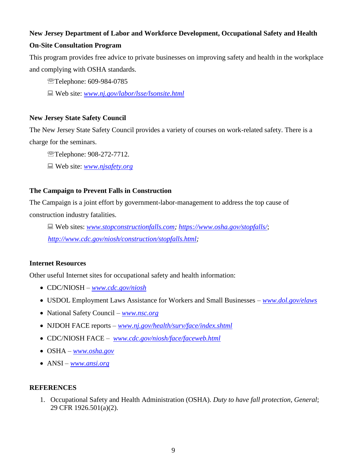## **New Jersey Department of Labor and Workforce Development, Occupational Safety and Health**

## **On-Site Consultation Program**

This program provides free advice to private businesses on improving safety and health in the workplace and complying with OSHA standards.

- Telephone: 609-984-0785
- Web site: *[www.nj.gov/labor/lsse/lsonsite.html](http://www.nj.gov/labor/lsse/lsonsite.html)*

### **New Jersey State Safety Council**

The New Jersey State Safety Council provides a variety of courses on work-related safety. There is a charge for the seminars.

- Telephone: 908-272-7712.
- Web site: *[www.njsafety.org](http://www.njsafety.org/)*

## **The Campaign to Prevent Falls in Construction**

The Campaign is a joint effort by government-labor-management to address the top cause of construction industry fatalities.

 Web sites: *[www.stopconstructionfalls.com;](http://www.stopconstructionfalls.com/) <https://www.osha.gov/stopfalls/>*; *[http://www.cdc.gov/niosh/construction/stopfalls.html;](http://www.cdc.gov/niosh/construction/stopfalls.html)* 

### **Internet Resources**

Other useful Internet sites for occupational safety and health information:

- CDC/NIOSH *[www.cdc.gov/niosh](http://www.cdc.gov/niosh)*
- USDOL Employment Laws Assistance for Workers and Small Businesses *[www.dol.gov/elaws](http://www.dol.gov/elaws)*
- National Safety Council *[www.nsc.org](http://www.nsc.org/)*
- NJDOH FACE reports *[www.nj.gov/health/surv/face/index.shtml](http://www.nj.gov/health/surv/face/index.shtml)*
- CDC/NIOSH FACE *[www.cdc.gov/niosh/face/faceweb.html](http://www.cdc.gov/niosh/face/faceweb.html)*
- OSHA *[www.osha.gov](http://www.osha.gov/)*
- ANSI *[www.ansi.org](http://www.ansi.org/)*

#### **REFERENCES**

1. Occupational Safety and Health Administration (OSHA). *Duty to have fall protection, General*; 29 CFR 1926.501(a)(2).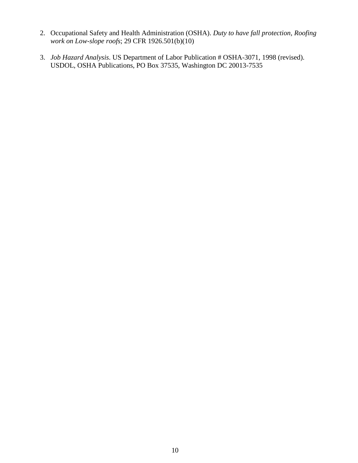- 2. Occupational Safety and Health Administration (OSHA). *Duty to have fall protection, Roofing work on Low-slope roofs*; 29 CFR 1926.501(b)(10)
- 3. *Job Hazard Analysis*. US Department of Labor Publication # OSHA-3071, 1998 (revised). USDOL, OSHA Publications, PO Box 37535, Washington DC 20013-7535